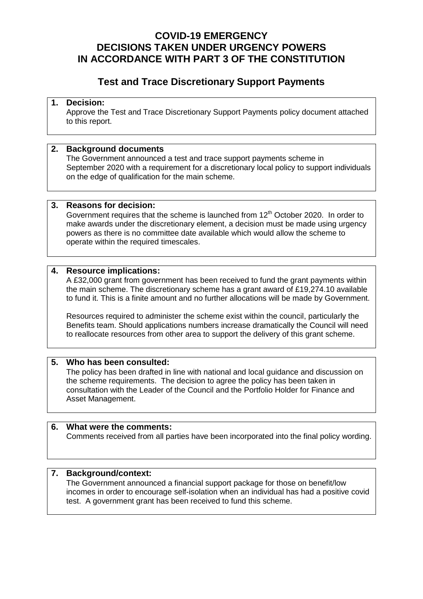#### **COVID-19 EMERGENCY DECISIONS TAKEN UNDER URGENCY POWERS IN ACCORDANCE WITH PART 3 OF THE CONSTITUTION**

### **Test and Trace Discretionary Support Payments**

#### **1. Decision:**

Approve the Test and Trace Discretionary Support Payments policy document attached to this report.

#### **2. Background documents**

The Government announced a test and trace support payments scheme in September 2020 with a requirement for a discretionary local policy to support individuals on the edge of qualification for the main scheme.

#### **3. Reasons for decision:**

Government requires that the scheme is launched from  $12<sup>th</sup>$  October 2020. In order to make awards under the discretionary element, a decision must be made using urgency powers as there is no committee date available which would allow the scheme to operate within the required timescales.

#### **4. Resource implications:**

A £32,000 grant from government has been received to fund the grant payments within the main scheme. The discretionary scheme has a grant award of £19,274.10 available to fund it. This is a finite amount and no further allocations will be made by Government.

Resources required to administer the scheme exist within the council, particularly the Benefits team. Should applications numbers increase dramatically the Council will need to reallocate resources from other area to support the delivery of this grant scheme.

#### **5. Who has been consulted:**

The policy has been drafted in line with national and local guidance and discussion on the scheme requirements. The decision to agree the policy has been taken in consultation with the Leader of the Council and the Portfolio Holder for Finance and Asset Management.

#### **6. What were the comments:**

Comments received from all parties have been incorporated into the final policy wording.

#### **7. Background/context:**

The Government announced a financial support package for those on benefit/low incomes in order to encourage self-isolation when an individual has had a positive covid test. A government grant has been received to fund this scheme.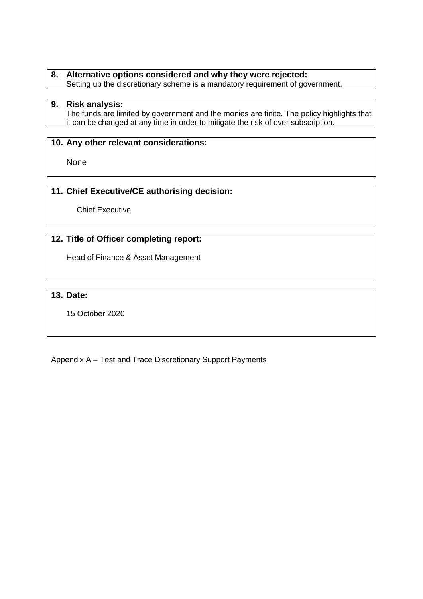#### **8. Alternative options considered and why they were rejected:** Setting up the discretionary scheme is a mandatory requirement of government.

#### **9. Risk analysis:**

The funds are limited by government and the monies are finite. The policy highlights that it can be changed at any time in order to mitigate the risk of over subscription.

#### **10. Any other relevant considerations:**

None

#### **11. Chief Executive/CE authorising decision:**

Chief Executive

#### **12. Title of Officer completing report:**

Head of Finance & Asset Management

#### **13. Date:**

15 October 2020

Appendix A – Test and Trace Discretionary Support Payments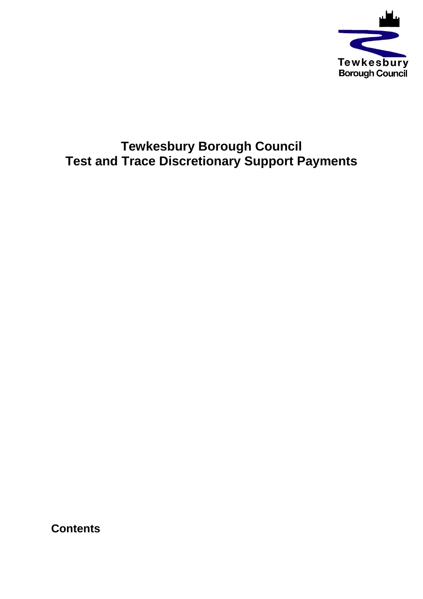

# **Tewkesbury Borough Council Test and Trace Discretionary Support Payments**

**Contents**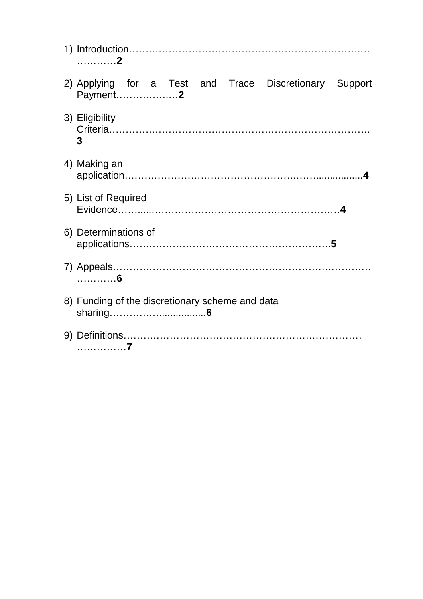| . 2                                                                |
|--------------------------------------------------------------------|
| 2) Applying for a Test and Trace Discretionary Support<br>Payment2 |
| 3) Eligibility<br>3                                                |
| 4) Making an                                                       |
| 5) List of Required                                                |
| 6) Determinations of                                               |
| . 6                                                                |
| 8) Funding of the discretionary scheme and data                    |
| . 7                                                                |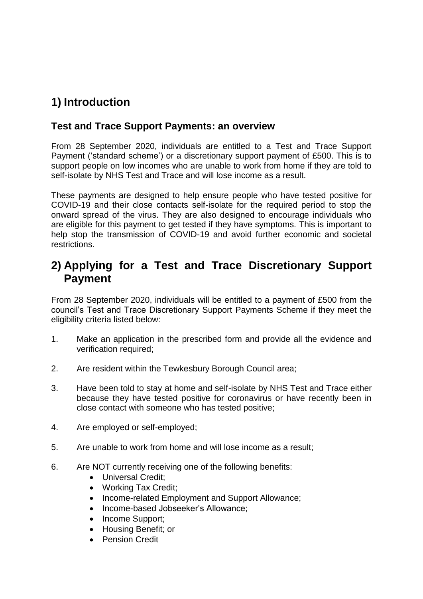# **1) Introduction**

### **Test and Trace Support Payments: an overview**

From 28 September 2020, individuals are entitled to a Test and Trace Support Payment ('standard scheme') or a discretionary support payment of £500. This is to support people on low incomes who are unable to work from home if they are told to self-isolate by NHS Test and Trace and will lose income as a result.

These payments are designed to help ensure people who have tested positive for COVID-19 and their close contacts self-isolate for the required period to stop the onward spread of the virus. They are also designed to encourage individuals who are eligible for this payment to get tested if they have symptoms. This is important to help stop the transmission of COVID-19 and avoid further economic and societal restrictions.

### **2) Applying for a Test and Trace Discretionary Support Payment**

From 28 September 2020, individuals will be entitled to a payment of £500 from the council's Test and Trace Discretionary Support Payments Scheme if they meet the eligibility criteria listed below:

- 1. Make an application in the prescribed form and provide all the evidence and verification required;
- 2. Are resident within the Tewkesbury Borough Council area;
- 3. Have been told to stay at home and self-isolate by NHS Test and Trace either because they have tested positive for coronavirus or have recently been in close contact with someone who has tested positive;
- 4. Are employed or self-employed;
- 5. Are unable to work from home and will lose income as a result;
- 6. Are NOT currently receiving one of the following benefits:
	- Universal Credit:
	- Working Tax Credit;
	- Income-related Employment and Support Allowance;
	- Income-based Jobseeker's Allowance:
	- Income Support;
	- Housing Benefit; or
	- **•** Pension Credit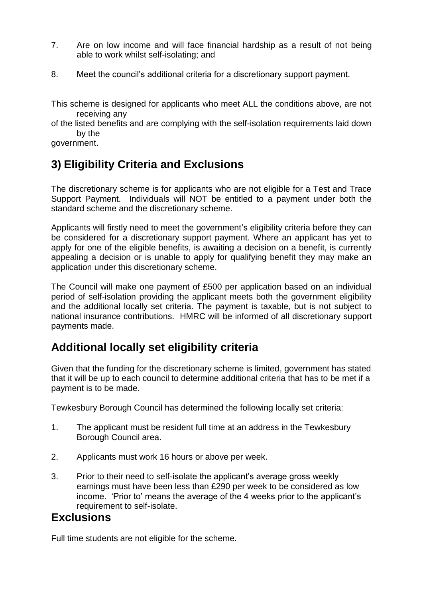- 7. Are on low income and will face financial hardship as a result of not being able to work whilst self-isolating; and
- 8. Meet the council's additional criteria for a discretionary support payment.

This scheme is designed for applicants who meet ALL the conditions above, are not receiving any

of the listed benefits and are complying with the self-isolation requirements laid down by the

government.

## **3) Eligibility Criteria and Exclusions**

The discretionary scheme is for applicants who are not eligible for a Test and Trace Support Payment. Individuals will NOT be entitled to a payment under both the standard scheme and the discretionary scheme.

Applicants will firstly need to meet the government's eligibility criteria before they can be considered for a discretionary support payment. Where an applicant has yet to apply for one of the eligible benefits, is awaiting a decision on a benefit, is currently appealing a decision or is unable to apply for qualifying benefit they may make an application under this discretionary scheme.

The Council will make one payment of £500 per application based on an individual period of self-isolation providing the applicant meets both the government eligibility and the additional locally set criteria. The payment is taxable, but is not subject to national insurance contributions. HMRC will be informed of all discretionary support payments made.

### **Additional locally set eligibility criteria**

Given that the funding for the discretionary scheme is limited, government has stated that it will be up to each council to determine additional criteria that has to be met if a payment is to be made.

Tewkesbury Borough Council has determined the following locally set criteria:

- 1. The applicant must be resident full time at an address in the Tewkesbury Borough Council area.
- 2. Applicants must work 16 hours or above per week.
- 3. Prior to their need to self-isolate the applicant's average gross weekly earnings must have been less than £290 per week to be considered as low income. 'Prior to' means the average of the 4 weeks prior to the applicant's requirement to self-isolate.

### **Exclusions**

Full time students are not eligible for the scheme.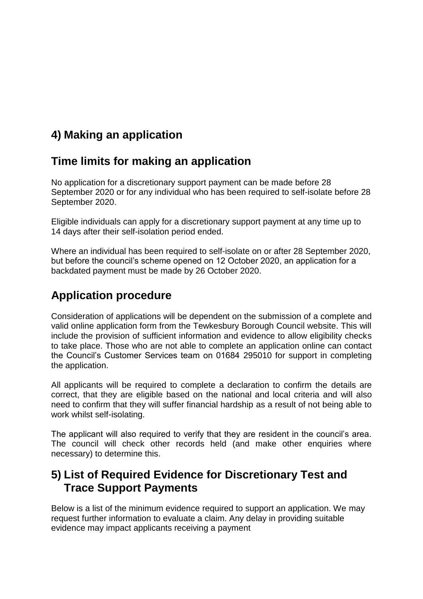## **4) Making an application**

### **Time limits for making an application**

No application for a discretionary support payment can be made before 28 September 2020 or for any individual who has been required to self-isolate before 28 September 2020.

Eligible individuals can apply for a discretionary support payment at any time up to 14 days after their self-isolation period ended.

Where an individual has been required to self-isolate on or after 28 September 2020, but before the council's scheme opened on 12 October 2020, an application for a backdated payment must be made by 26 October 2020.

## **Application procedure**

Consideration of applications will be dependent on the submission of a complete and valid online application form from the Tewkesbury Borough Council website. This will include the provision of sufficient information and evidence to allow eligibility checks to take place. Those who are not able to complete an application online can contact the Council's Customer Services team on 01684 295010 for support in completing the application.

All applicants will be required to complete a declaration to confirm the details are correct, that they are eligible based on the national and local criteria and will also need to confirm that they will suffer financial hardship as a result of not being able to work whilst self-isolating.

The applicant will also required to verify that they are resident in the council's area. The council will check other records held (and make other enquiries where necessary) to determine this.

### **5) List of Required Evidence for Discretionary Test and Trace Support Payments**

Below is a list of the minimum evidence required to support an application. We may request further information to evaluate a claim. Any delay in providing suitable evidence may impact applicants receiving a payment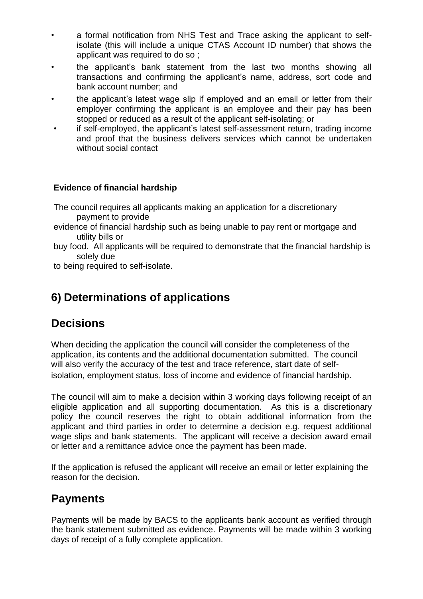- a formal notification from NHS Test and Trace asking the applicant to selfisolate (this will include a unique CTAS Account ID number) that shows the applicant was required to do so ;
- the applicant's bank statement from the last two months showing all transactions and confirming the applicant's name, address, sort code and bank account number; and
- the applicant's latest wage slip if employed and an email or letter from their employer confirming the applicant is an employee and their pay has been stopped or reduced as a result of the applicant self-isolating; or
- if self-employed, the applicant's latest self-assessment return, trading income and proof that the business delivers services which cannot be undertaken without social contact

#### **Evidence of financial hardship**

- The council requires all applicants making an application for a discretionary payment to provide
- evidence of financial hardship such as being unable to pay rent or mortgage and utility bills or
- buy food. All applicants will be required to demonstrate that the financial hardship is solely due

to being required to self-isolate.

## **6) Determinations of applications**

### **Decisions**

When deciding the application the council will consider the completeness of the application, its contents and the additional documentation submitted. The council will also verify the accuracy of the test and trace reference, start date of selfisolation, employment status, loss of income and evidence of financial hardship.

The council will aim to make a decision within 3 working days following receipt of an eligible application and all supporting documentation. As this is a discretionary policy the council reserves the right to obtain additional information from the applicant and third parties in order to determine a decision e.g. request additional wage slips and bank statements. The applicant will receive a decision award email or letter and a remittance advice once the payment has been made.

If the application is refused the applicant will receive an email or letter explaining the reason for the decision.

### **Payments**

Payments will be made by BACS to the applicants bank account as verified through the bank statement submitted as evidence. Payments will be made within 3 working days of receipt of a fully complete application.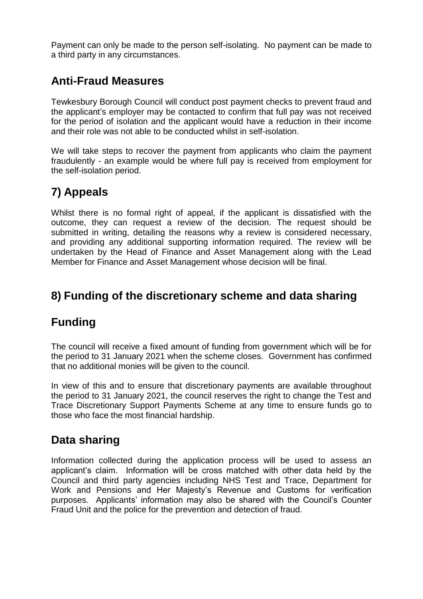Payment can only be made to the person self-isolating. No payment can be made to a third party in any circumstances.

### **Anti-Fraud Measures**

Tewkesbury Borough Council will conduct post payment checks to prevent fraud and the applicant's employer may be contacted to confirm that full pay was not received for the period of isolation and the applicant would have a reduction in their income and their role was not able to be conducted whilst in self-isolation.

We will take steps to recover the payment from applicants who claim the payment fraudulently - an example would be where full pay is received from employment for the self-isolation period.

## **7) Appeals**

Whilst there is no formal right of appeal, if the applicant is dissatisfied with the outcome, they can request a review of the decision. The request should be submitted in writing, detailing the reasons why a review is considered necessary, and providing any additional supporting information required. The review will be undertaken by the Head of Finance and Asset Management along with the Lead Member for Finance and Asset Management whose decision will be final.

## **8) Funding of the discretionary scheme and data sharing**

## **Funding**

The council will receive a fixed amount of funding from government which will be for the period to 31 January 2021 when the scheme closes. Government has confirmed that no additional monies will be given to the council.

In view of this and to ensure that discretionary payments are available throughout the period to 31 January 2021, the council reserves the right to change the Test and Trace Discretionary Support Payments Scheme at any time to ensure funds go to those who face the most financial hardship.

### **Data sharing**

Information collected during the application process will be used to assess an applicant's claim. Information will be cross matched with other data held by the Council and third party agencies including NHS Test and Trace, Department for Work and Pensions and Her Majesty's Revenue and Customs for verification purposes. Applicants' information may also be shared with the Council's Counter Fraud Unit and the police for the prevention and detection of fraud.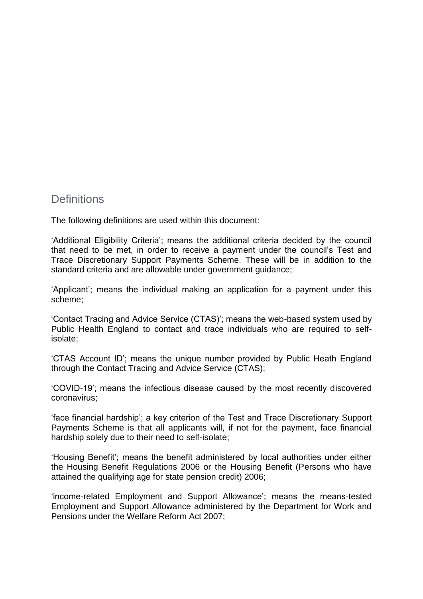#### **Definitions**

The following definitions are used within this document:

'Additional Eligibility Criteria'; means the additional criteria decided by the council that need to be met, in order to receive a payment under the council's Test and Trace Discretionary Support Payments Scheme. These will be in addition to the standard criteria and are allowable under government guidance;

'Applicant'; means the individual making an application for a payment under this scheme;

'Contact Tracing and Advice Service (CTAS)'; means the web-based system used by Public Health England to contact and trace individuals who are required to selfisolate;

'CTAS Account ID'; means the unique number provided by Public Heath England through the Contact Tracing and Advice Service (CTAS);

'COVID-19'; means the infectious disease caused by the most recently discovered coronavirus;

'face financial hardship'; a key criterion of the Test and Trace Discretionary Support Payments Scheme is that all applicants will, if not for the payment, face financial hardship solely due to their need to self-isolate;

'Housing Benefit'; means the benefit administered by local authorities under either the Housing Benefit Regulations 2006 or the Housing Benefit (Persons who have attained the qualifying age for state pension credit) 2006;

'income-related Employment and Support Allowance'; means the means-tested Employment and Support Allowance administered by the Department for Work and Pensions under the Welfare Reform Act 2007;